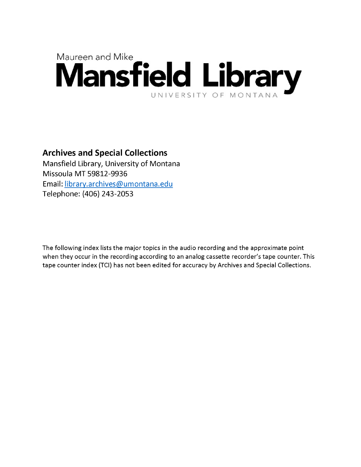## Maureen and Mike **Mansfield Library** UNIVERSITY OF MONTANA

## **Archives and Special Collections**

Mansfield Library, University of Montana Missoula MT 59812-9936 Email: [library.archives@umontana.edu](mailto:library.archives@umontana.edu) Telephone: (406) 243-2053

The following index lists the major topics in the audio recording and the approximate point when they occur in the recording according to an analog cassette recorder's tape counter. This tape counter index (TCI) has not been edited for accuracy by Archives and Special Collections.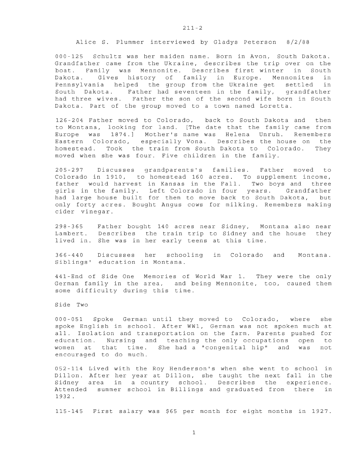Alice S. Plummer interviewed by Gladys Peterson 8/2/88

000-125 Schultz was her maiden name. Born in Avon, South Dakota. Grandfather came from the Ukraine, describes the trip over on the boat. Family was Mennonite. Describes first winter in South Dakota. Gives history of family in Europe. Mennonites in Pennsylvania helped the group from the Ukraine get settled in South Dakota. Father had seventeen in the family, grandfather had three wives. Father the son of the second wife born in South Dakota. Part of the group moved to a town named Loretta.

126-204 Father moved to Colorado, back to South Dakota and then to Montana, looking for land. [The date that the family came from Europe was 1874.] Mother's name was Helena Unruh. Remembers Eastern Colorado, especially Vona. Describes the house on the homestead. Took the train from South Dakota to Colorado. They moved when she was four. Five children in the family.

205-297 Discusses grandparents's families. Father moved to Colorado in 1910, to homestead 160 acres. To supplement income, father would harvest in Kansas in the Fall. Two boys and three girls in the family. Left Colorado in four years. Grandfather had large house built for them to move back to South Dakota, but only forty acres. Bought Angus cows for milking. Remembers making cider vinegar.

298-365 Father bought 140 acres near Sidney, Montana also near Lambert. Describes the train trip to Sidney and the house they lived in. She was in her early teens at this time.

366-440 Discusses her schooling in Colorado and Montana. Siblings' education in Montana.

441-End of Side One Memories of World War 1. They were the only German family in the area, and being Mennonite, too, caused them some difficulty during this time.

Side Two

000-051 Spoke German until they moved to Colorado, where she spoke English in school. After WW1, German was not spoken much at all. Isolation and transportation on the farm. Parents pushed for education. Nursing and teaching the only occupations open to women at that time. She had a "congenital hip" and was not encouraged to do much.

052-114 Lived with the Roy Henderson's when she went to school in Dillon. After her year at Dillon, she taught the next fall in the Sidney area in a country school. Describes the experience. Attended summer school in Billings and graduated from there in 1932 .

115-145 First salary was \$65 per month for eight months in 1927.

1